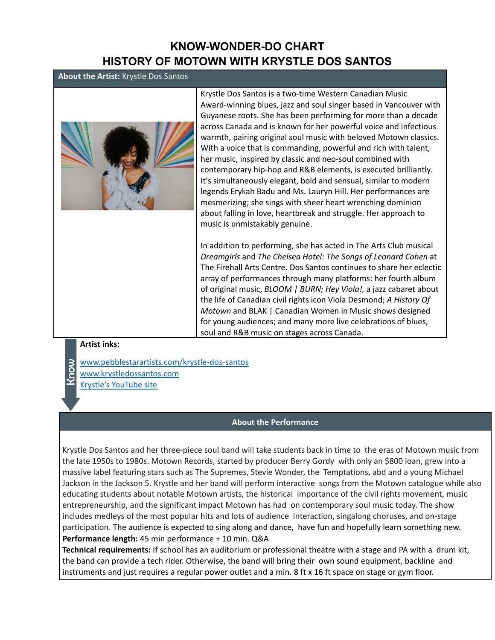## **KNOW-WONDER-DO CHART HISTORY OF MOTOWN WITH KRYSTLE DOS SANTOS**

### **About the Artist:** Krystle Dos Santos



Krystle Dos Santos is a two-time Western Canadian Music Award-winning blues, jazz and soul singer based in Vancouver with Guyanese roots. She has been performing for more than a decade across Canada and is known for her powerful voice and infectious warmth, pairing original soul music with beloved Motown classics. With a voice that is commanding, powerful and rich with talent, her music, inspired by classic and neo-soul combined with contemporary hip-hop and R&B elements, is executed brilliantly. It's simultaneously elegant, bold and sensual, similar to modern legends Erykah Badu and Ms. Lauryn Hill. Her performances are mesmerizing; she sings with sheer heart wrenching dominion about falling in love, heartbreak and struggle. Her approach to music is unmistakably genuine.

In addition to performing, she has acted in The Arts Club musical *Dreamgirls* and *The Chelsea Hotel: The Songs of Leonard Cohen* at The Firehall Arts Centre. Dos Santos continues to share her eclectic array of performances through many platforms: her fourth album of original music, *BLOOM | BURN; Hey Viola!,* a jazz cabaret about the life of Canadian civil rights icon Viola Desmond; *A History Of Motown* and BLAK | Canadian Women in Music shows designed for young audiences; and many more live celebrations of blues, soul and R&B music on stages across Canada.

#### **Artist inks:**

- www.pebblestarartists.com/krystle-dos-santos
- www.krystledossantos.com
- Krystle's YouTube site

#### **About the Performance**

Krystle Dos Santos and her three-piece soul band will take students back in time to the eras of Motown music from the late 1950s to 1980s. Motown Records, started by producer Berry Gordy with only an \$800 loan, grew into a massive label featuring stars such as The Supremes, Stevie Wonder, the Temptations, abd and a young Michael Jackson in the Jackson 5. Krystle and her band will perform interactive songs from the Motown catalogue while also educating students about notable Motown artists, the historical importance of the civil rights movement, music entrepreneurship, and the significant impact Motown has had on contemporary soul music today. The show includes medleys of the most popular hits and lots of audience interaction, singalong choruses, and on-stage participation. The audience is expected to sing along and dance, have fun and hopefully learn something new. **Performance length:** 45 min performance + 10 min. Q&A

**Technical requirements:** If school has an auditorium or professional theatre with a stage and PA with a drum kit, the band can provide a tech rider. Otherwise, the band will bring their own sound equipment, backline and instruments and just requires a regular power outlet and a min. 8 ft x 16 ft space on stage or gym floor.